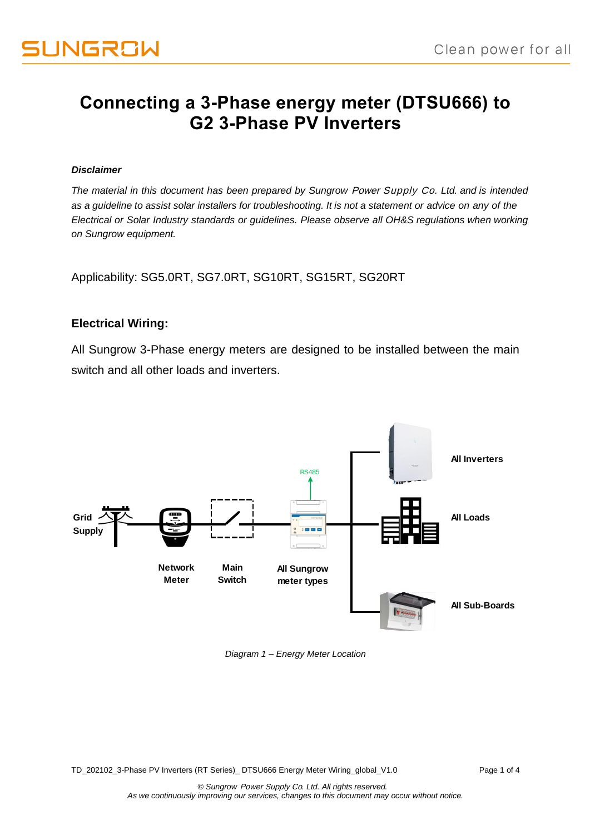# **Connecting a 3-Phase energy meter (DTSU666) to G2 3-Phase PV Inverters**

#### *Disclaimer*

*The material in this document has been prepared by Sungrow* Power Supply Co*. Ltd. and is intended as a guideline to assist solar installers for troubleshooting. It is not a statement or advice on any of the Electrical or Solar Industry standards or guidelines. Please observe all OH&S regulations when working on Sungrow equipment.*

Applicability: SG5.0RT, SG7.0RT, SG10RT, SG15RT, SG20RT

### **Electrical Wiring:**

All Sungrow 3-Phase energy meters are designed to be installed between the main switch and all other loads and inverters.



*Diagram 1 – Energy Meter Location*

TD\_202102\_3-Phase PV Inverters (RT Series)\_ DTSU666 Energy Meter Wiring\_global\_V1.0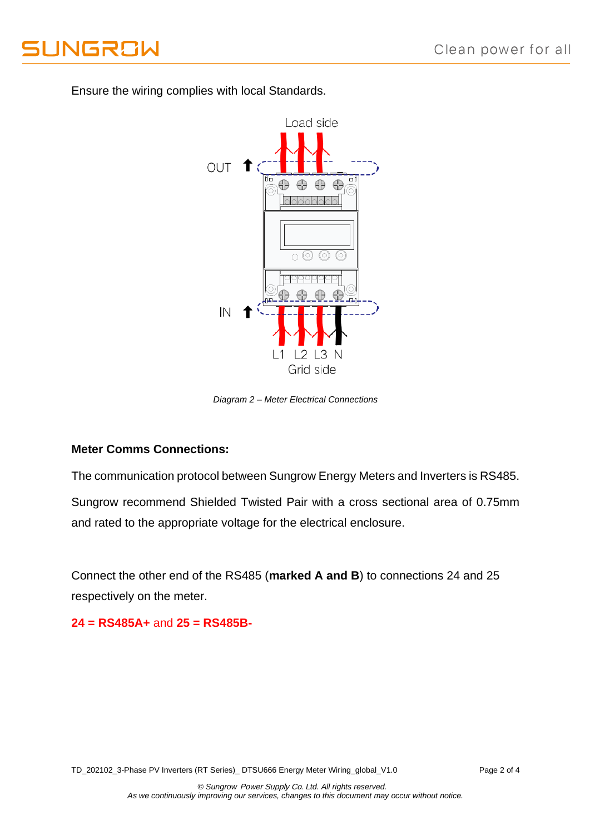

Load side OUT 1 49 € 49 Ξ IN  $\sqrt{2}$ 3  $\vert$  1 Grid side

Ensure the wiring complies with local Standards.

*Diagram 2 – Meter Electrical Connections*

### **Meter Comms Connections:**

The communication protocol between Sungrow Energy Meters and Inverters is RS485.

Sungrow recommend Shielded Twisted Pair with a cross sectional area of 0.75mm and rated to the appropriate voltage for the electrical enclosure.

Connect the other end of the RS485 (**marked A and B**) to connections 24 and 25 respectively on the meter.

**24 = RS485A+** and **25 = RS485B-**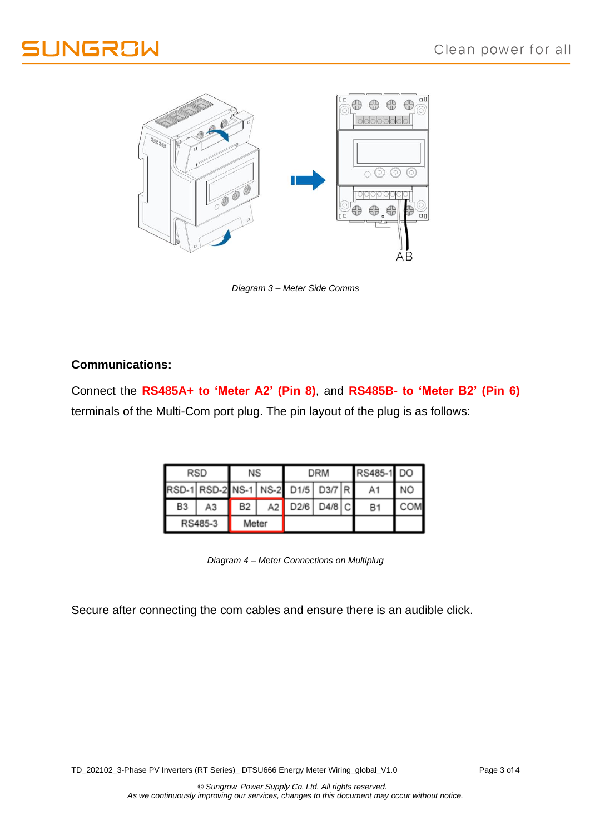



*Diagram 3 – Meter Side Comms*

## **Communications:**

Connect the **RS485A+ to 'Meter A2' (Pin 8)**, and **RS485B- to 'Meter B2' (Pin 6)** terminals of the Multi-Com port plug. The pin layout of the plug is as follows:

| <b>RSD</b>     |                                   | NS             |      | <b>DRM</b> |             |  | RS485-1 DO |           |
|----------------|-----------------------------------|----------------|------|------------|-------------|--|------------|-----------|
|                | RSD-1 RSD-2 NS-1 NS-2 D1/5 D3/7 R |                |      |            |             |  | A1         | <b>NO</b> |
| B <sub>3</sub> | AЗ                                | B <sub>2</sub> | A2 l |            | D2/6 D4/8 C |  | <b>B1</b>  | COM       |
| RS485-3        |                                   | Meter          |      |            |             |  |            |           |

*Diagram 4 – Meter Connections on Multiplug*

Secure after connecting the com cables and ensure there is an audible click.